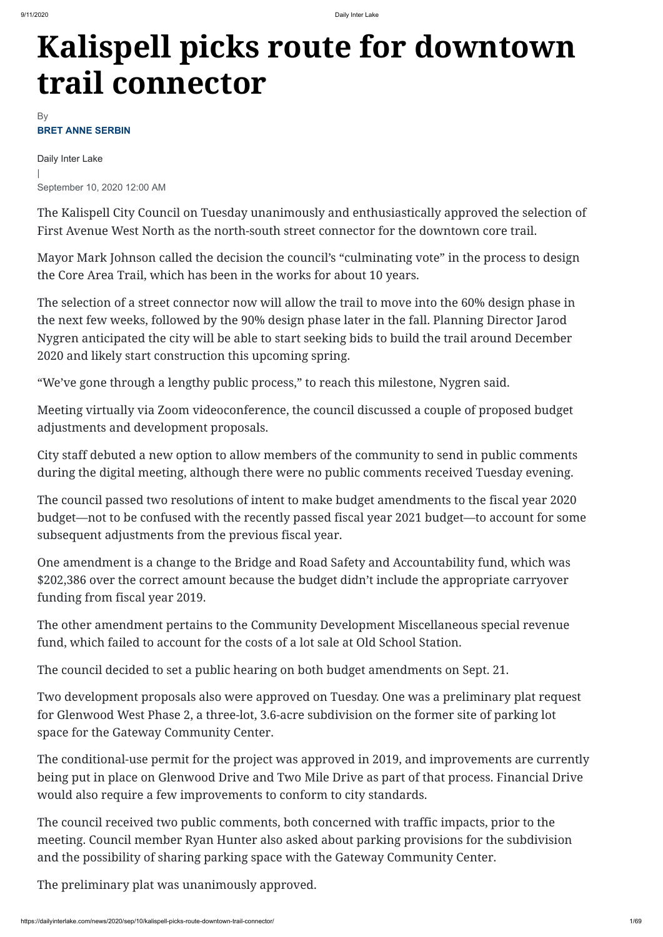## **Kalispell picks route for downtown trail connector**

Daily Inter Lake | September 10, 2020 12:00 AM

The Kalispell City Council on Tuesday unanimously and enthusiastically approved the selection of First Avenue West North as the north-south street connector for the downtown core trail.

Mayor Mark Johnson called the decision the council's "culminating vote" in the process to design the Core Area Trail, which has been in the works for about 10 years.

The selection of a street connector now will allow the trail to move into the 60% design phase in the next few weeks, followed by the 90% design phase later in the fall. Planning Director Jarod Nygren anticipated the city will be able to start seeking bids to build the trail around December 2020 and likely start construction this upcoming spring.

"We've gone through a lengthy public process," to reach this milestone, Nygren said.

Meeting virtually via Zoom videoconference, the council discussed a couple of proposed budget adjustments and development proposals.

City staff debuted a new option to allow members of the community to send in public comments during the digital meeting, although there were no public comments received Tuesday evening.

The council passed two resolutions of intent to make budget amendments to the fiscal year 2020 budget—not to be confused with the recently passed fiscal year 2021 budget—to account for some subsequent adjustments from the previous fiscal year.

## **BRET ANNE SERBIN** By

One amendment is a change to the Bridge and Road Safety and Accountability fund, which was \$202,386 over the correct amount because the budget didn't include the appropriate carryover funding from fiscal year 2019.

The other amendment pertains to the Community Development Miscellaneous special revenue fund, which failed to account for the costs of a lot sale at Old School Station.

The council decided to set a public hearing on both budget amendments on Sept. 21.

Two development proposals also were approved on Tuesday. One was a preliminary plat request

for Glenwood West Phase 2, a three-lot, 3.6-acre subdivision on the former site of parking lot space for the Gateway Community Center.

The conditional-use permit for the project was approved in 2019, and improvements are currently being put in place on Glenwood Drive and Two Mile Drive as part of that process. Financial Drive would also require a few improvements to conform to city standards.

The council received two public comments, both concerned with traffic impacts, prior to the meeting. Council member Ryan Hunter also asked about parking provisions for the subdivision and the possibility of sharing parking space with the Gateway Community Center.

The preliminary plat was unanimously approved.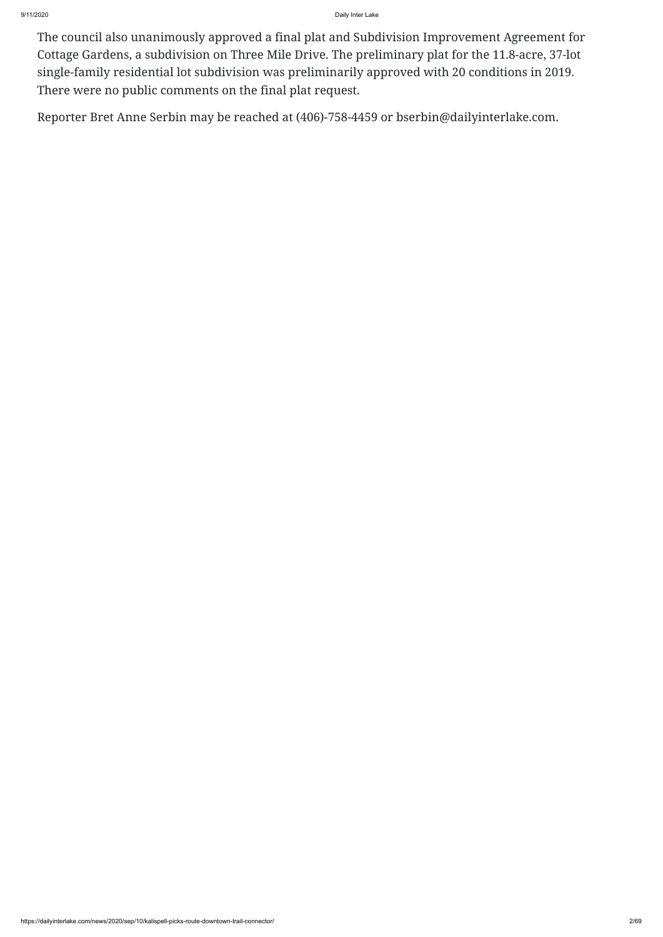9/11/2020 Daily Inter Lake

The council also unanimously approved a final plat and Subdivision Improvement Agreement for Cottage Gardens, a subdivision on Three Mile Drive. The preliminary plat for the 11.8-acre, 37-lot single-family residential lot subdivision was preliminarily approved with 20 conditions in 2019. There were no public comments on the final plat request.

Reporter Bret Anne Serbin may be reached at (406)-758-4459 or bserbin@dailyinterlake.com.